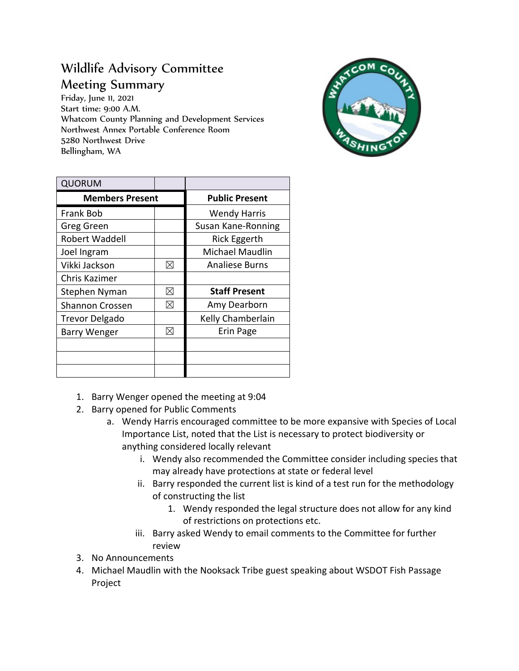## Wildlife Advisory Committee Meeting Summary

Friday, June 11, 2021 Start time: 9:00 A.M. Whatcom County Planning and Development Services Northwest Annex Portable Conference Room 5280 Northwest Drive Bellingham, WA



| <b>QUORUM</b>          |   |                       |
|------------------------|---|-----------------------|
| <b>Members Present</b> |   | <b>Public Present</b> |
| <b>Frank Bob</b>       |   | <b>Wendy Harris</b>   |
| Greg Green             |   | Susan Kane-Ronning    |
| Robert Waddell         |   | <b>Rick Eggerth</b>   |
| Joel Ingram            |   | Michael Maudlin       |
| Vikki Jackson          | ⊠ | <b>Analiese Burns</b> |
| Chris Kazimer          |   |                       |
| Stephen Nyman          | ⊠ | <b>Staff Present</b>  |
| <b>Shannon Crossen</b> | ⊠ | Amy Dearborn          |
| <b>Trevor Delgado</b>  |   | Kelly Chamberlain     |
| <b>Barry Wenger</b>    | ⊠ | Erin Page             |
|                        |   |                       |
|                        |   |                       |
|                        |   |                       |

- 1. Barry Wenger opened the meeting at 9:04
- 2. Barry opened for Public Comments
	- a. Wendy Harris encouraged committee to be more expansive with Species of Local Importance List, noted that the List is necessary to protect biodiversity or anything considered locally relevant
		- i. Wendy also recommended the Committee consider including species that may already have protections at state or federal level
		- ii. Barry responded the current list is kind of a test run for the methodology of constructing the list
			- 1. Wendy responded the legal structure does not allow for any kind of restrictions on protections etc.
		- iii. Barry asked Wendy to email comments to the Committee for further review
- 3. No Announcements
- 4. Michael Maudlin with the Nooksack Tribe guest speaking about WSDOT Fish Passage Project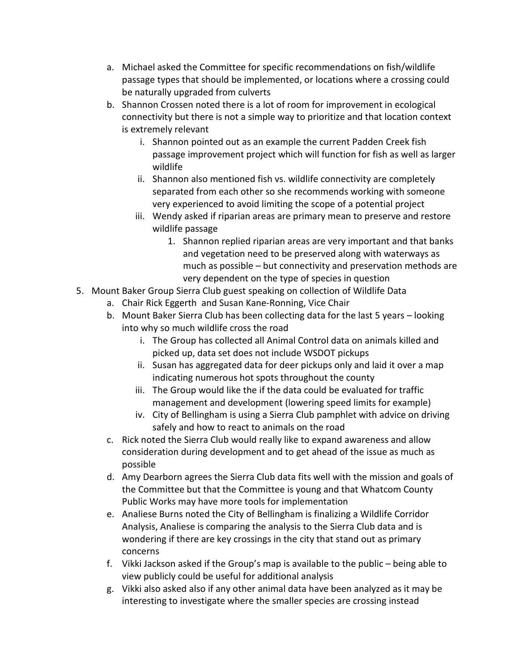- a. Michael asked the Committee for specific recommendations on fish/wildlife passage types that should be implemented, or locations where a crossing could be naturally upgraded from culverts
- b. Shannon Crossen noted there is a lot of room for improvement in ecological connectivity but there is not a simple way to prioritize and that location context is extremely relevant
	- i. Shannon pointed out as an example the current Padden Creek fish passage improvement project which will function for fish as well as larger wildlife
	- ii. Shannon also mentioned fish vs. wildlife connectivity are completely separated from each other so she recommends working with someone very experienced to avoid limiting the scope of a potential project
	- iii. Wendy asked if riparian areas are primary mean to preserve and restore wildlife passage
		- 1. Shannon replied riparian areas are very important and that banks and vegetation need to be preserved along with waterways as much as possible – but connectivity and preservation methods are very dependent on the type of species in question
- 5. Mount Baker Group Sierra Club guest speaking on collection of Wildlife Data
	- a. Chair Rick Eggerth and Susan Kane-Ronning, Vice Chair
	- b. Mount Baker Sierra Club has been collecting data for the last 5 years looking into why so much wildlife cross the road
		- i. The Group has collected all Animal Control data on animals killed and picked up, data set does not include WSDOT pickups
		- ii. Susan has aggregated data for deer pickups only and laid it over a map indicating numerous hot spots throughout the county
		- iii. The Group would like the if the data could be evaluated for traffic management and development (lowering speed limits for example)
		- iv. City of Bellingham is using a Sierra Club pamphlet with advice on driving safely and how to react to animals on the road
	- c. Rick noted the Sierra Club would really like to expand awareness and allow consideration during development and to get ahead of the issue as much as possible
	- d. Amy Dearborn agrees the Sierra Club data fits well with the mission and goals of the Committee but that the Committee is young and that Whatcom County Public Works may have more tools for implementation
	- e. Analiese Burns noted the City of Bellingham is finalizing a Wildlife Corridor Analysis, Analiese is comparing the analysis to the Sierra Club data and is wondering if there are key crossings in the city that stand out as primary concerns
	- f. Vikki Jackson asked if the Group's map is available to the public being able to view publicly could be useful for additional analysis
	- g. Vikki also asked also if any other animal data have been analyzed as it may be interesting to investigate where the smaller species are crossing instead